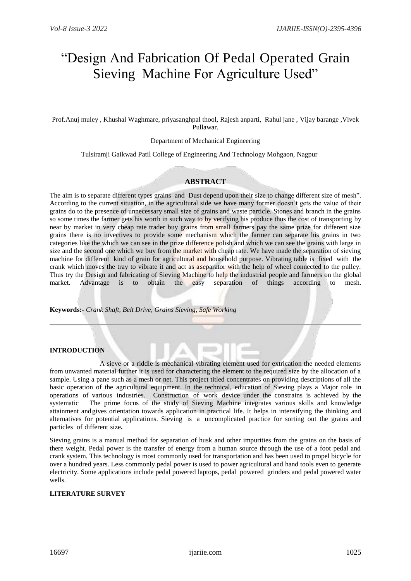# "Design And Fabrication Of Pedal Operated Grain Sieving Machine For Agriculture Used"

Prof.Anuj muley , Khushal Waghmare, priyasanghpal thool, Rajesh anparti, Rahul jane , Vijay barange ,Vivek Pullawar.

#### Department of Mechanical Engineering

Tulsiramji Gaikwad Patil College of Engineering And Technology Mohgaon, Nagpur

## **ABSTRACT**

The aim is to separate different types grains and Dust depend upon their size to change different size of mesh". According to the current situation, in the agricultural side we have many former doesn't gets the value of their grains do to the presence of unnecessary small size of grains and waste particle. Stones and branch in the grains so some times the farmer gets his worth in such way to by verifying his produce thus the cost of transporting by near by market in very cheap rate trader buy grains from small farmers pay the same prize for different size grains there is no invectives to provide some mechanism which the farmer can separate his grains in two categories like the which we can see in the prize difference polish and which we can see the grains with large in size and the second one which we buy from the market with cheap rate. We have made the separation of sieving machine for different kind of grain for agricultural and household purpose. Vibrating table is fixed with the crank which moves the tray to vibrate it and act as aseparator with the help of wheel connected to the pulley. Thus try the Design and fabricating of Sieving Machine to help the industrial people and farmers on the global market. Advantage is to obtain the easy separation of things according to mesh.

#### **Keywords:-** *Crank Shaft, Belt Drive, Grains Sieving, Safe Working*

## **INTRODUCTION**

 A sieve or a riddle is mechanical vibrating element used for extrication the needed elements from unwanted material further it is used for charactering the element to the required size by the allocation of a sample. Using a pane such as a mesh or net. This project titled concentrates on providing descriptions of all the basic operation of the agricultural equipment. In the technical, education of Sieving plays a Major role in operations of various industries. Construction of work device under the constrains is achieved by the systematic The prime focus of the study of Sieving Machine integrates various skills and knowledge attainment and gives orientation towards application in practical life. It helps in intensifying the thinking and alternatives for potential applications. Sieving is a uncomplicated practice for sorting out the grains and particles of different size**.** 

Sieving grains is a manual method for separation of husk and other impurities from the grains on the basis of there weight. Pedal power is the transfer of energy from a human source through the use of a foot pedal and crank system. This technology is most commonly used for transportation and has been used to propel bicycle for over a hundred years. Less commonly pedal power is used to power agricultural and hand tools even to generate electricity. Some applications include pedal powered laptops, pedal powered grinders and pedal powered water wells.

## **LITERATURE SURVEY**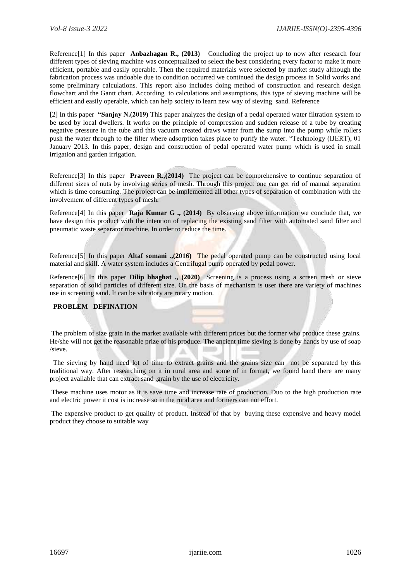Reference[1] In this paper **Anbazhagan R., (2013)** Concluding the project up to now after research four different types of sieving machine was conceptualized to select the best considering every factor to make it more efficient, portable and easily operable. Then the required materials were selected by market study although the fabrication process was undoable due to condition occurred we continued the design process in Solid works and some preliminary calculations. This report also includes doing method of construction and research design flowchart and the Gantt chart. According to calculations and assumptions, this type of sieving machine will be efficient and easily operable, which can help society to learn new way of sieving sand. Reference

[2] In this paper **"Sanjay N.(2019)** This paper analyzes the design of a pedal operated water filtration system to be used by local dwellers. It works on the principle of compression and sudden release of a tube by creating negative pressure in the tube and this vacuum created draws water from the sump into the pump while rollers push the water through to the filter where adsorption takes place to purify the water. "Technology (IJERT), 01 January 2013. In this paper, design and construction of pedal operated water pump which is used in small irrigation and garden irrigation.

Reference[3] In this paper **Praveen R.,(2014)** The project can be comprehensive to continue separation of different sizes of nuts by involving series of mesh. Through this project one can get rid of manual separation which is time consuming. The project can be implemented all other types of separation of combination with the involvement of different types of mesh.

Reference[4] In this paper **Raja Kumar G ., (2014)** By observing above information we conclude that, we have design this product with the intention of replacing the existing sand filter with automated sand filter and pneumatic waste separator machine. In order to reduce the time.

Reference[5] In this paper **Altaf somani .,(2016)** The pedal operated pump can be constructed using local material and skill. A water system includes a Centrifugal pump operated by pedal power.

Reference[6] In this paper **Dilip bhaghat ., (2020)** Screening is a process using a screen mesh or sieve separation of solid particles of different size. On the basis of mechanism is user there are variety of machines use in screening sand. It can be vibratory are rotary motion.

## **PROBLEM DEFINATION**

The problem of size grain in the market available with different prices but the former who produce these grains. He/she will not get the reasonable prize of his produce. The ancient time sieving is done by hands by use of soap /sieve.

 The sieving by hand need lot of time to extract grains and the grains size can not be separated by this traditional way. After researching on it in rural area and some of in format, we found hand there are many project available that can extract sand ,grain by the use of electricity.

These machine uses motor as it is save time and increase rate of production. Duo to the high production rate and electric power it cost is increase so in the rural area and formers can not effort.

The expensive product to get quality of product. Instead of that by buying these expensive and heavy model product they choose to suitable way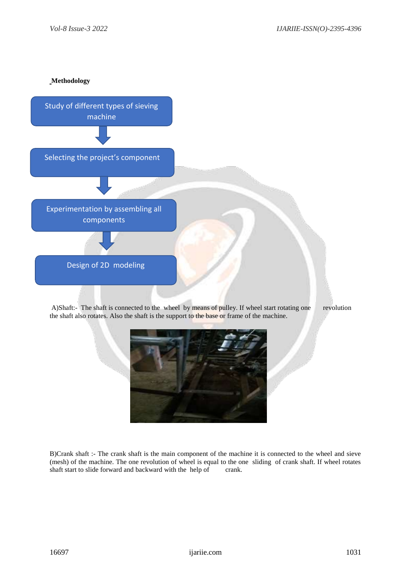**Methodology** 



B)Crank shaft :- The crank shaft is the main component of the machine it is connected to the wheel and sieve (mesh) of the machine. The one revolution of wheel is equal to the one sliding of crank shaft. If wheel rotates shaft start to slide forward and backward with the help of crank.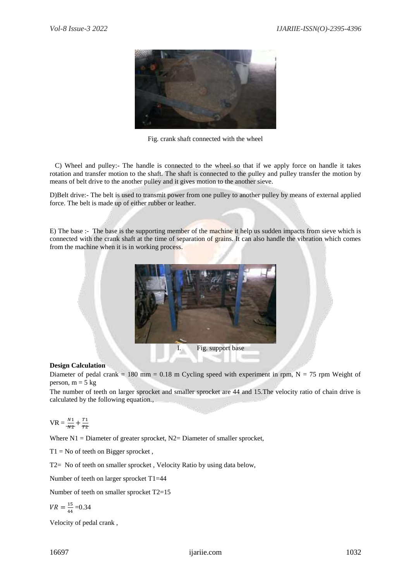

Fig. crank shaft connected with the wheel

 C) Wheel and pulley:- The handle is connected to the wheel so that if we apply force on handle it takes rotation and transfer motion to the shaft. The shaft is connected to the pulley and pulley transfer the motion by means of belt drive to the another pulley and it gives motion to the another sieve.

D)Belt drive:- The belt is used to transmit power from one pulley to another pulley by means of external applied force. The belt is made up of either rubber or leather.

E) The base :- The base is the supporting member of the machine it help us sudden impacts from sieve which is connected with the crank shaft at the time of separation of grains. It can also handle the vibration which comes from the machine when it is in working process.



## **Design Calculation**

Diameter of pedal crank = 180 mm = 0.18 m Cycling speed with experiment in rpm,  $N = 75$  rpm Weight of person,  $m = 5$  kg

The number of teeth on larger sprocket and smaller sprocket are 44 and 15.The velocity ratio of chain drive is calculated by the following equation.,

$$
VR = \frac{N_1}{N_2} + \frac{T_1}{T_2}
$$

Where  $N1 =$  Diameter of greater sprocket,  $N2 =$  Diameter of smaller sprocket,

 $T1 = No$  of teeth on Bigger sprocket,

T2= No of teeth on smaller sprocket , Velocity Ratio by using data below,

Number of teeth on larger sprocket T1=44

Number of teeth on smaller sprocket T2=15

$$
VR = \frac{15}{44} = 0.34
$$

Velocity of pedal crank ,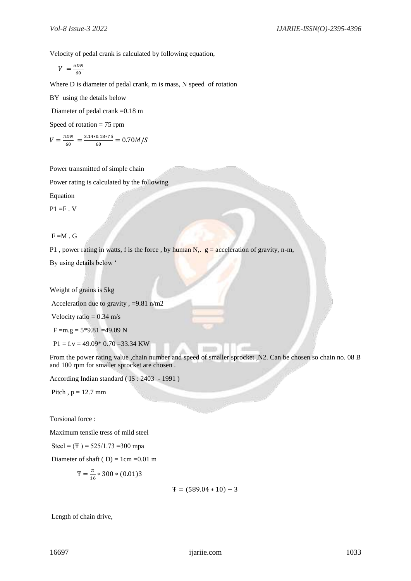Velocity of pedal crank is calculated by following equation,

$$
V = \frac{\pi DN}{60}
$$

Where D is diameter of pedal crank, m is mass, N speed of rotation

BY using the details below

Diameter of pedal crank =0.18 m

Speed of rotation  $= 75$  rpm

$$
V = \frac{\pi DN}{60} = \frac{3.14 \times 0.18 \times 75}{60} = 0.70 M/S
$$

Power transmitted of simple chain

Power rating is calculated by the following

Equation

 $P1 = F \cdot V$ 

## $F = M . G$

P1, power rating in watts, f is the force, by human N,.  $g =$  acceleration of gravity, n-m,

By using details below '

Weight of grains is 5kg

Acceleration due to gravity , =9.81 n/m2

Velocity ratio  $= 0.34$  m/s

$$
F = m.g = 5*9.81 = 49.09
$$
 N

 $P1 = f.v = 49.09 * 0.70 = 33.34$  KW

From the power rating value ,chain number and speed of smaller sprocket ,N2. Can be chosen so chain no. 08 B and 100 rpm for smaller sprocket are chosen .

According Indian standard ( IS : 2403 - 1991 )

Pitch,  $p = 12.7$  mm

Torsional force :

Maximum tensile tress of mild steel

Steel =  $(F)$  = 525/1.73 = 300 mpa

Diameter of shaft ( $D$ ) = 1cm = 0.01 m

$$
T = \frac{\pi}{16} * 300 * (0.01)3
$$

$$
T = (589.04 * 10) - 3
$$

Length of chain drive,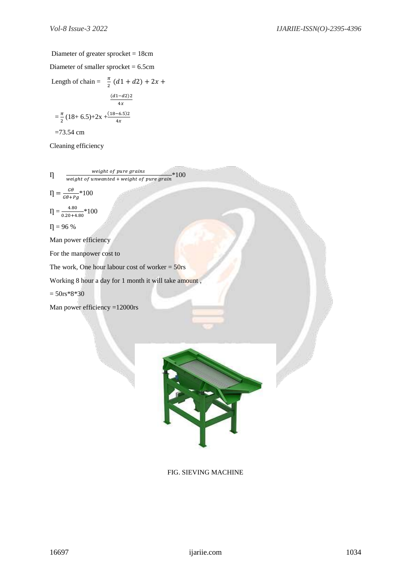## Diameter of greater sprocket = 18cm

Diameter of smaller sprocket = 6.5cm Length of chain =  $\frac{\pi}{2}$  $\frac{\pi}{2}$  (d1 + d2) + 2x +  $(d1-d2)2$  $4x$  $=\frac{\pi}{2}$  $\frac{\pi}{2}(18+6.5)+2x+\frac{(18-6.5)2}{4x}$  $=73.54$  cm

Cleaning efficiency

 $\eta$ weight of pure grains weight of unwanted + weight of pure grain \*100

$$
\eta = \frac{G\theta}{G\theta + Pg} * 100
$$

 $\Gamma = \frac{4.80}{0.20 \times 4}$  $\frac{4.80}{0.20+4.80}*100$ 

 $\eta = 96 \%$ 

Man power efficiency

For the manpower cost to

The work, One hour labour cost of worker  $= 50$ rs

Working 8 hour a day for 1 month it will take amount ,

 $= 50$ rs\*8\*30

Man power efficiency =12000rs



FIG. SIEVING MACHINE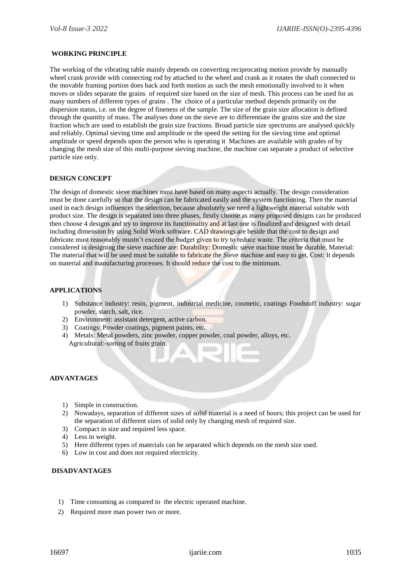## **WORKING PRINCIPLE**

The working of the vibrating table mainly depends on converting reciprocating motion provide by manually wheel crank provide with connecting rod by attached to the wheel and crank as it rotates the shaft connected to the movable framing portion does back and forth motion as such the mesh emotionally involved to it when moves or slides separate the grains of required size based on the size of mesh. This process can be used for as many numbers of different types of grains . The choice of a particular method depends primarily on the dispersion status, i.e. on the degree of fineness of the sample. The size of the grain size allocation is defined through the quantity of mass. The analyses done on the sieve are to differentiate the grains size and the size fraction which are used to establish the grain size fractions. Broad particle size spectrums are analysed quickly and reliably. Optimal sieving time and amplitude or the speed the setting for the sieving time and optimal amplitude or speed depends upon the person who is operating it Machines are available with grades of by changing the mesh size of this multi-purpose sieving machine, the machine can separate a product of selective particle size only.

## **DESIGN CONCEPT**

The design of domestic sieve machines must have based on many aspects actually. The design consideration must be done carefully so that the design can be fabricated easily and the system functioning. Then the material used in each design influences the selection, because absolutely we need a lightweight material suitable with product size. The design is separated into three phases, firstly choose as many proposed designs can be produced then choose 4 designs and try to improve its functionality and at last one is finalized and designed with detail including dimension by using Solid Work software. CAD drawings are beside that the cost to design and fabricate must reasonably mustn't exceed the budget given to try to reduce waste. The criteria that must be considered in designing the sieve machine are: Durability: Domestic sieve machine must be durable, Material: The material that will be used must be suitable to fabricate the Sieve machine and easy to get, Cost: It depends on material and manufacturing processes. It should reduce the cost to the minimum.

## **APPLICATIONS**

- 1) Substance industry: resin, pigment, industrial medicine, cosmetic, coatings Foodstuff industry: sugar powder, starch, salt, rice.
- 2) Environment: assistant detergent, active carbon.
- 3) Coatings: Powder coatings, pigment paints, etc.
- 4) Metals: Metal powders, zinc powder, copper powder, coal powder, alloys, etc. Agricultural:-sorting of fruits grain.

## **ADVANTAGES**

- 1) Simple in construction.
- 2) Nowadays, separation of different sizes of solid material is a need of hours; this project can be used for the separation of different sizes of solid only by changing mesh of required size.
- 3) Compact in size and required less space.
- 4) Less in weight.
- 5) Here different types of materials can be separated which depends on the mesh size used.
- 6) Low in cost and does not required electricity.

## **DISADVANTAGES**

- 1) Time consuming as compared to the electric operated machine.
- 2) Required more man power two or more.